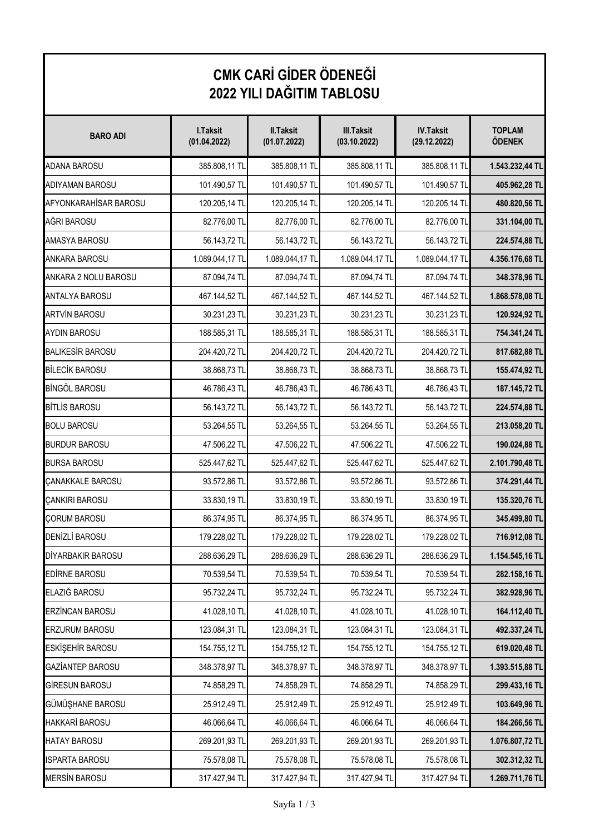| CMK CARİ GİDER ÖDENEĞİ<br>2022 YILI DAĞITIM TABLOSU |                          |                                  |                                   |                                  |                         |  |  |
|-----------------------------------------------------|--------------------------|----------------------------------|-----------------------------------|----------------------------------|-------------------------|--|--|
| <b>BARO ADI</b>                                     | I.Taksit<br>(01.04.2022) | <b>II.Taksit</b><br>(01.07.2022) | <b>III.Taksit</b><br>(03.10.2022) | <b>IV.Taksit</b><br>(29.12.2022) | <b>TOPLAM</b><br>ÖDENEK |  |  |
| <b>ADANA BAROSU</b>                                 | 385.808,11 TL            | 385.808,11 TL                    | 385.808,11 TL                     | 385.808,11 TL                    | 1.543.232,44 TL         |  |  |
| <b>ADIYAMAN BAROSU</b>                              | 101.490,57 TL            | 101.490,57 TL                    | 101.490,57 TL                     | 101.490,57 TL                    | 405.962,28 TL           |  |  |
| AFYONKARAHİSAR BAROSU                               | 120.205,14 TL            | 120.205,14 TL                    | 120.205,14 TL                     | 120.205,14 TL                    | 480.820,56 TL           |  |  |
| AĞRI BAROSU                                         | 82.776,00 TL             | 82.776,00 TL                     | 82.776,00 TL                      | 82.776,00 TL                     | 331.104,00 TL           |  |  |
| <b>AMASYA BAROSU</b>                                | 56.143,72 TL             | 56.143,72 TL                     | 56.143,72 TL                      | 56.143,72 TL                     | 224.574,88 TL           |  |  |
| ANKARA BAROSU                                       | 1.089.044,17 TL          | 1.089.044,17 TL                  | 1.089.044,17 TL                   | 1.089.044,17 TL                  | 4.356.176,68 TL         |  |  |
| ANKARA 2 NOLU BAROSU                                | 87.094,74 TL             | 87.094,74 TL                     | 87.094,74 TL                      | 87.094,74 TL                     | 348.378,96 TL           |  |  |
| <b>ANTALYA BAROSU</b>                               | 467.144,52 TL            | 467.144,52 TL                    | 467.144,52 TL                     | 467.144,52 TL                    | 1.868.578,08 TL         |  |  |
| <b>ARTVIN BAROSU</b>                                | 30.231,23 TL             | 30.231,23 TL                     | 30.231,23 TL                      | 30.231,23 TL                     | 120.924,92 TL           |  |  |
| <b>AYDIN BAROSU</b>                                 | 188.585,31 TL            | 188.585,31 TL                    | 188.585,31 TL                     | 188.585,31 TL                    | 754.341,24 TL           |  |  |
| <b>BALIKESIR BAROSU</b>                             | 204.420,72 TL            | 204.420,72 TL                    | 204.420,72 TL                     | 204.420,72 TL                    | 817.682,88 TL           |  |  |
| <b>BİLECİK BAROSU</b>                               | 38.868,73 TL             | 38.868,73 TL                     | 38.868,73 TL                      | 38.868,73 TL                     | 155.474,92 TL           |  |  |
| <b>BİNGÖL BAROSU</b>                                | 46.786,43 TL             | 46.786,43 TL                     | 46.786,43 TL                      | 46.786,43 TL                     | 187.145,72 TL           |  |  |
| <b>BİTLİS BAROSU</b>                                | 56.143,72 TL             | 56.143,72 TL                     | 56.143,72 TL                      | 56.143,72 TL                     | 224.574,88 TL           |  |  |
| <b>BOLU BAROSU</b>                                  | 53.264,55 TL             | 53.264,55 TL                     | 53.264,55 TL                      | 53.264,55 TL                     | 213.058,20 TL           |  |  |
| <b>BURDUR BAROSU</b>                                | 47.506,22 TL             | 47.506,22 TL                     | 47.506,22 TL                      | 47.506,22 TL                     | 190.024,88 TL           |  |  |
| <b>BURSA BAROSU</b>                                 | 525.447,62 TL            | 525.447,62 TL                    | 525.447,62 TL                     | 525.447,62 TL                    | 2.101.790,48 TL         |  |  |
| <b>ÇANAKKALE BAROSU</b>                             | 93.572,86 TL             | 93.572,86 TL                     | 93.572,86 TL                      | 93.572,86 TL                     | 374.291,44 TL           |  |  |
| <b>ÇANKIRI BAROSU</b>                               | 33.830,19 TL             | 33.830,19 TL                     | 33.830,19 TL                      | 33.830,19 TL                     | 135.320,76 TL           |  |  |
| <b>ÇORUM BAROSU</b>                                 | 86.374,95 TL             | 86.374,95 TL                     | 86.374,95 TL                      | 86.374,95 TL                     | 345.499,80 TL           |  |  |
| DENİZLİ BAROSU                                      | 179.228,02 TL            | 179.228,02 TL                    | 179.228,02 TL                     | 179.228,02 TL                    | 716.912,08 TL           |  |  |
| DİYARBAKIR BAROSU                                   | 288.636,29 TL            | 288.636,29 TL                    | 288.636,29 TL                     | 288.636,29 TL                    | 1.154.545,16 TL         |  |  |
| EDİRNE BAROSU                                       | 70.539,54 TL             | 70.539,54 TL                     | 70.539,54 TL                      | 70.539,54 TL                     | 282.158,16 TL           |  |  |
| ELAZIĞ BAROSU                                       | 95.732,24 TL             | 95.732,24 TL                     | 95.732,24 TL                      | 95.732,24 TL                     | 382.928,96 TL           |  |  |
| ERZİNCAN BAROSU                                     | 41.028,10 TL             | 41.028,10 TL                     | 41.028,10 TL                      | 41.028,10 TL                     | 164.112,40 TL           |  |  |
| ERZURUM BAROSU                                      | 123.084,31 TL            | 123.084,31 TL                    | 123.084,31 TL                     | 123.084,31 TL                    | 492.337,24 TL           |  |  |
| ESKİŞEHİR BAROSU                                    | 154.755,12 TL            | 154.755,12 TL                    | 154.755,12 TL                     | 154.755,12 TL                    | 619.020,48 TL           |  |  |
| <b>GAZİANTEP BAROSU</b>                             | 348.378,97 TL            | 348.378,97 TL                    | 348.378,97 TL                     | 348.378,97 TL                    | 1.393.515,88 TL         |  |  |
| <b>GİRESUN BAROSU</b>                               | 74.858,29 TL             | 74.858,29 TL                     | 74.858,29 TL                      | 74.858,29 TL                     | 299.433,16 TL           |  |  |
| GÜMÜŞHANE BAROSU                                    | 25.912,49 TL             | 25.912,49 TL                     | 25.912,49 TL                      | 25.912,49 TL                     | 103.649,96 TL           |  |  |
| <b>HAKKARİ BAROSU</b>                               | 46.066,64 TL             | 46.066,64 TL                     | 46.066,64 TL                      | 46.066,64 TL                     | 184.266,56 TL           |  |  |
| <b>HATAY BAROSU</b>                                 | 269.201,93 TL            | 269.201,93 TL                    | 269.201,93 TL                     | 269.201,93 TL                    | 1.076.807,72 TL         |  |  |
| <b>ISPARTA BAROSU</b>                               | 75.578,08 TL             | 75.578,08 TL                     | 75.578,08 TL                      | 75.578,08 TL                     | 302.312,32 TL           |  |  |
| <b>MERSIN BAROSU</b>                                | 317.427,94 TL            | 317.427,94 TL                    | 317.427,94 TL                     | 317.427,94 TL                    | 1.269.711,76 TL         |  |  |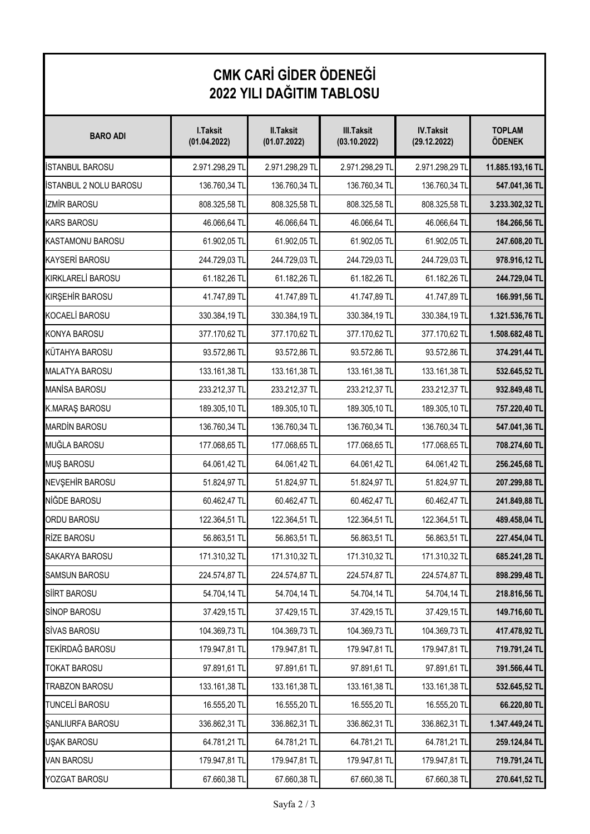| CMK CARİ GİDER ÖDENEĞİ<br>2022 YILI DAĞITIM TABLOSU |                          |                                  |                                   |                                  |                         |  |  |
|-----------------------------------------------------|--------------------------|----------------------------------|-----------------------------------|----------------------------------|-------------------------|--|--|
| <b>BARO ADI</b>                                     | I.Taksit<br>(01.04.2022) | <b>II.Taksit</b><br>(01.07.2022) | <b>III.Taksit</b><br>(03.10.2022) | <b>IV.Taksit</b><br>(29.12.2022) | <b>TOPLAM</b><br>ÖDENEK |  |  |
| İSTANBUL BAROSU                                     | 2.971.298,29 TL          | 2.971.298,29 TL                  | 2.971.298,29 TL                   | 2.971.298,29 TL                  | 11.885.193,16 TL        |  |  |
| İSTANBUL 2 NOLU BAROSU                              | 136.760,34 TL            | 136.760,34 TL                    | 136.760,34 TL                     | 136.760,34 TL                    | 547.041,36 TL           |  |  |
| <b>İZMİR BAROSU</b>                                 | 808.325,58 TL            | 808.325,58 TL                    | 808.325,58 TL                     | 808.325,58 TL                    | 3.233.302,32 TL         |  |  |
| <b>KARS BAROSU</b>                                  | 46.066,64 TL             | 46.066,64 TL                     | 46.066,64 TL                      | 46.066,64 TL                     | 184.266,56 TL           |  |  |
| KASTAMONU BAROSU                                    | 61.902,05 TL             | 61.902,05 TL                     | 61.902,05 TL                      | 61.902,05 TL                     | 247.608,20 TL           |  |  |
| <b>KAYSERİ BAROSU</b>                               | 244.729,03 TL            | 244.729,03 TL                    | 244.729,03 TL                     | 244.729,03 TL                    | 978.916,12 TL           |  |  |
| KIRKLARELİ BAROSU                                   | 61.182,26 TL             | 61.182,26 TL                     | 61.182,26 TL                      | 61.182,26 TL                     | 244.729,04 TL           |  |  |
| KIRSEHİR BAROSU                                     | 41.747,89 TL             | 41.747,89 TL                     | 41.747,89 TL                      | 41.747,89 TL                     | 166.991,56 TL           |  |  |
| KOCAELİ BAROSU                                      | 330.384,19 TL            | 330.384,19 TL                    | 330.384,19 TL                     | 330.384,19 TL                    | 1.321.536,76 TL         |  |  |
| <b>KONYA BAROSU</b>                                 | 377.170,62 TL            | 377.170,62 TL                    | 377.170,62 TL                     | 377.170,62 TL                    | 1.508.682,48 TL         |  |  |
| KÜTAHYA BAROSU                                      | 93.572,86 TL             | 93.572,86 TL                     | 93.572,86 TL                      | 93.572,86 TL                     | 374.291,44 TL           |  |  |
| <b>MALATYA BAROSU</b>                               | 133.161,38 TL            | 133.161,38 TL                    | 133.161,38 TL                     | 133.161,38 TL                    | 532.645,52 TL           |  |  |
| <b>MANISA BAROSU</b>                                | 233.212,37 TL            | 233.212,37 TL                    | 233.212,37 TL                     | 233.212,37 TL                    | 932.849,48 TL           |  |  |
| K.MARAŞ BAROSU                                      | 189.305,10 TL            | 189.305,10 TL                    | 189.305,10 TL                     | 189.305,10 TL                    | 757.220,40 TL           |  |  |
| <b>MARDIN BAROSU</b>                                | 136.760,34 TL            | 136.760,34 TL                    | 136.760,34 TL                     | 136.760,34 TL                    | 547.041,36 TL           |  |  |
| MUĞLA BAROSU                                        | 177.068,65 TL            | 177.068,65 TL                    | 177.068,65 TL                     | 177.068,65 TL                    | 708.274,60 TL           |  |  |
| <b>MUŞ BAROSU</b>                                   | 64.061,42 TL             | 64.061,42 TL                     | 64.061,42 TL                      | 64.061,42 TL                     | 256.245,68 TL           |  |  |
| NEVŞEHİR BAROSU                                     | 51.824,97 TL             | 51.824,97 TL                     | 51.824,97 TL                      | 51.824,97 TL                     | 207.299,88 TL           |  |  |
| NİĞDE BAROSU                                        | 60.462,47 TL             | 60.462,47 TL                     | 60.462,47 TL                      | 60.462,47 TL                     | 241.849,88 TL           |  |  |
| <b>ORDU BAROSU</b>                                  | 122.364,51 TL            | 122.364,51 TL                    | 122.364,51 TL                     | 122.364,51 TL                    | 489.458,04 TL           |  |  |
| RİZE BAROSU                                         | 56.863,51 TL             | 56.863,51 TL                     | 56.863,51 TL                      | 56.863,51 TL                     | 227.454,04 TL           |  |  |
| SAKARYA BAROSU                                      | 171.310,32 TL            | 171.310,32 TL                    | 171.310,32 TL                     | 171.310,32 TL                    | 685.241,28 TL           |  |  |
| SAMSUN BAROSU                                       | 224.574,87 TL            | 224.574,87 TL                    | 224.574,87 TL                     | 224.574,87 TL                    | 898.299,48 TL           |  |  |
| SİİRT BAROSU                                        | 54.704,14 TL             | 54.704,14 TL                     | 54.704,14 TL                      | 54.704,14 TL                     | 218.816,56 TL           |  |  |
| SİNOP BAROSU                                        | 37.429,15 TL             | 37.429,15 TL                     | 37.429,15 TL                      | 37.429,15 TL                     | 149.716,60 TL           |  |  |
| SİVAS BAROSU                                        | 104.369,73 TL            | 104.369,73 TL                    | 104.369,73 TL                     | 104.369,73 TL                    | 417.478,92 TL           |  |  |
| TEKİRDAĞ BAROSU                                     | 179.947,81 TL            | 179.947,81 TL                    | 179.947,81 TL                     | 179.947,81 TL                    | 719.791,24 TL           |  |  |
| <b>TOKAT BAROSU</b>                                 | 97.891,61 TL             | 97.891,61 TL                     | 97.891,61 TL                      | 97.891,61 TL                     | 391.566,44 TL           |  |  |
| TRABZON BAROSU                                      | 133.161,38 TL            | 133.161,38 TL                    | 133.161,38 TL                     | 133.161,38 TL                    | 532.645,52 TL           |  |  |
| TUNCELİ BAROSU                                      | 16.555,20 TL             | 16.555,20 TL                     | 16.555,20 TL                      | 16.555,20 TL                     | 66.220,80 TL            |  |  |
| <b>ŞANLIURFA BAROSU</b>                             | 336.862,31 TL            | 336.862,31 TL                    | 336.862,31 TL                     | 336.862,31 TL                    | 1.347.449,24 TL         |  |  |
| <b>UŞAK BAROSU</b>                                  | 64.781,21 TL             | 64.781,21 TL                     | 64.781,21 TL                      | 64.781,21 TL                     | 259.124,84 TL           |  |  |
| VAN BAROSU                                          | 179.947,81 TL            | 179.947,81 TL                    | 179.947,81 TL                     | 179.947,81 TL                    | 719.791,24 TL           |  |  |
| YOZGAT BAROSU                                       | 67.660,38 TL             | 67.660,38 TL                     | 67.660,38 TL                      | 67.660,38 TL                     | 270.641,52 TL           |  |  |